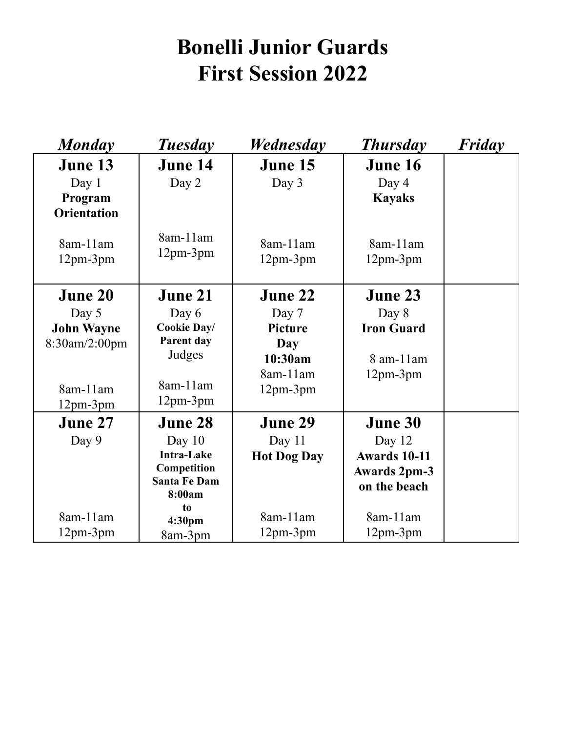## **Bonelli Junior Guards First Session 2022**

| <b>Monday</b>      | <b>Tuesday</b>      | Wednesday          | <b>Thursday</b>     | Friday |
|--------------------|---------------------|--------------------|---------------------|--------|
| June 13            | <b>June 14</b>      | June 15            | <b>June 16</b>      |        |
| Day 1              | Day 2               | Day 3              | Day 4               |        |
| Program            |                     |                    | <b>Kayaks</b>       |        |
| <b>Orientation</b> |                     |                    |                     |        |
|                    | 8am-11am            |                    |                     |        |
| 8am-11am           | $12pm-3pm$          | 8am-11am           | 8am-11am            |        |
| $12pm-3pm$         |                     | 12pm-3pm           | $12pm-3pm$          |        |
|                    |                     |                    |                     |        |
| <b>June 20</b>     | <b>June 21</b>      | June 22            | June 23             |        |
| Day 5              | Day 6               | Day 7              | Day 8               |        |
| <b>John Wayne</b>  | <b>Cookie Day/</b>  | <b>Picture</b>     | <b>Iron Guard</b>   |        |
| 8:30am/2:00pm      | Parent day          | Day                |                     |        |
|                    | Judges              | 10:30am            | 8 am-11 am          |        |
|                    |                     | 8am-11am           | $12pm-3pm$          |        |
| 8am-11am           | 8am-11am            | $12pm-3pm$         |                     |        |
| $12pm-3pm$         | $12pm-3pm$          |                    |                     |        |
| June 27            | <b>June 28</b>      | <b>June 29</b>     | <b>June 30</b>      |        |
| Day 9              | Day $10$            | Day 11             | Day 12              |        |
|                    | <b>Intra-Lake</b>   | <b>Hot Dog Day</b> | <b>Awards 10-11</b> |        |
|                    | Competition         |                    | <b>Awards 2pm-3</b> |        |
|                    | <b>Santa Fe Dam</b> |                    | on the beach        |        |
|                    | 8:00am<br>to        |                    |                     |        |
| 8am-11am           | 4:30 <sub>pm</sub>  | 8am-11am           | 8am-11am            |        |
| $12pm-3pm$         | 8am-3pm             | $12pm-3pm$         | $12pm-3pm$          |        |